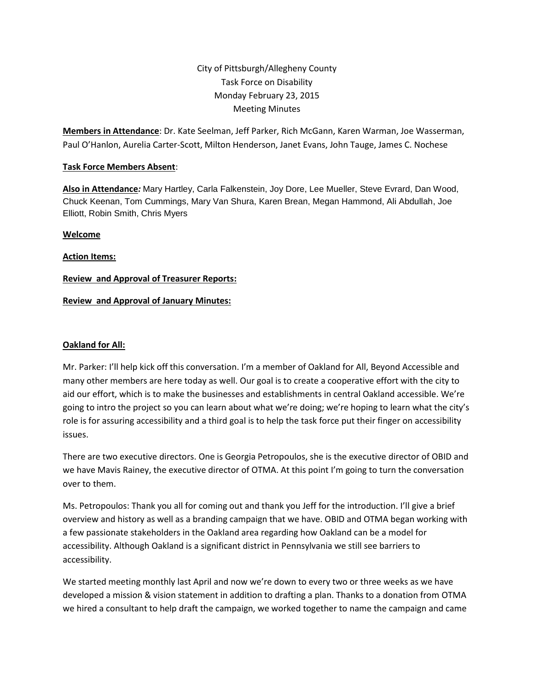# City of Pittsburgh/Allegheny County Task Force on Disability Monday February 23, 2015 Meeting Minutes

**Members in Attendance**: Dr. Kate Seelman, Jeff Parker, Rich McGann, Karen Warman, Joe Wasserman, Paul O'Hanlon, Aurelia Carter-Scott, Milton Henderson, Janet Evans, John Tauge, James C. Nochese

#### **Task Force Members Absent**:

**Also in Attendance***:* Mary Hartley, Carla Falkenstein, Joy Dore, Lee Mueller, Steve Evrard, Dan Wood, Chuck Keenan, Tom Cummings, Mary Van Shura, Karen Brean, Megan Hammond, Ali Abdullah, Joe Elliott, Robin Smith, Chris Myers

#### **Welcome**

**Action Items:**

# **Review and Approval of Treasurer Reports:**

## **Review and Approval of January Minutes:**

#### **Oakland for All:**

Mr. Parker: I'll help kick off this conversation. I'm a member of Oakland for All, Beyond Accessible and many other members are here today as well. Our goal is to create a cooperative effort with the city to aid our effort, which is to make the businesses and establishments in central Oakland accessible. We're going to intro the project so you can learn about what we're doing; we're hoping to learn what the city's role is for assuring accessibility and a third goal is to help the task force put their finger on accessibility issues.

There are two executive directors. One is Georgia Petropoulos, she is the executive director of OBID and we have Mavis Rainey, the executive director of OTMA. At this point I'm going to turn the conversation over to them.

Ms. Petropoulos: Thank you all for coming out and thank you Jeff for the introduction. I'll give a brief overview and history as well as a branding campaign that we have. OBID and OTMA began working with a few passionate stakeholders in the Oakland area regarding how Oakland can be a model for accessibility. Although Oakland is a significant district in Pennsylvania we still see barriers to accessibility.

We started meeting monthly last April and now we're down to every two or three weeks as we have developed a mission & vision statement in addition to drafting a plan. Thanks to a donation from OTMA we hired a consultant to help draft the campaign, we worked together to name the campaign and came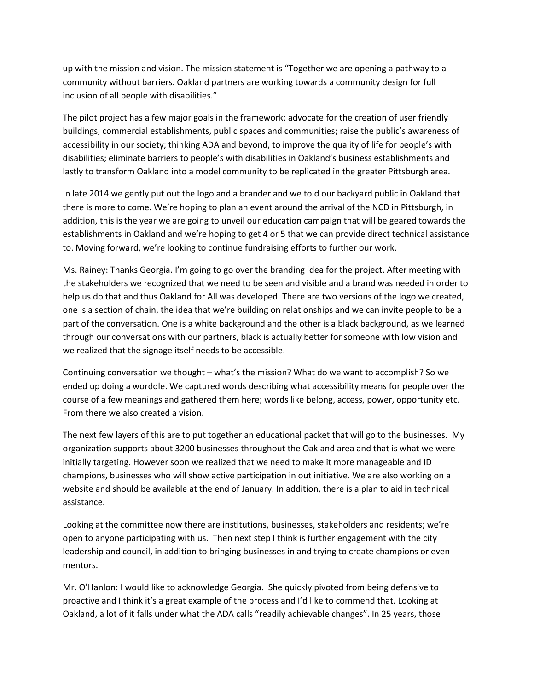up with the mission and vision. The mission statement is "Together we are opening a pathway to a community without barriers. Oakland partners are working towards a community design for full inclusion of all people with disabilities."

The pilot project has a few major goals in the framework: advocate for the creation of user friendly buildings, commercial establishments, public spaces and communities; raise the public's awareness of accessibility in our society; thinking ADA and beyond, to improve the quality of life for people's with disabilities; eliminate barriers to people's with disabilities in Oakland's business establishments and lastly to transform Oakland into a model community to be replicated in the greater Pittsburgh area.

In late 2014 we gently put out the logo and a brander and we told our backyard public in Oakland that there is more to come. We're hoping to plan an event around the arrival of the NCD in Pittsburgh, in addition, this is the year we are going to unveil our education campaign that will be geared towards the establishments in Oakland and we're hoping to get 4 or 5 that we can provide direct technical assistance to. Moving forward, we're looking to continue fundraising efforts to further our work.

Ms. Rainey: Thanks Georgia. I'm going to go over the branding idea for the project. After meeting with the stakeholders we recognized that we need to be seen and visible and a brand was needed in order to help us do that and thus Oakland for All was developed. There are two versions of the logo we created, one is a section of chain, the idea that we're building on relationships and we can invite people to be a part of the conversation. One is a white background and the other is a black background, as we learned through our conversations with our partners, black is actually better for someone with low vision and we realized that the signage itself needs to be accessible.

Continuing conversation we thought – what's the mission? What do we want to accomplish? So we ended up doing a worddle. We captured words describing what accessibility means for people over the course of a few meanings and gathered them here; words like belong, access, power, opportunity etc. From there we also created a vision.

The next few layers of this are to put together an educational packet that will go to the businesses. My organization supports about 3200 businesses throughout the Oakland area and that is what we were initially targeting. However soon we realized that we need to make it more manageable and ID champions, businesses who will show active participation in out initiative. We are also working on a website and should be available at the end of January. In addition, there is a plan to aid in technical assistance.

Looking at the committee now there are institutions, businesses, stakeholders and residents; we're open to anyone participating with us. Then next step I think is further engagement with the city leadership and council, in addition to bringing businesses in and trying to create champions or even mentors.

Mr. O'Hanlon: I would like to acknowledge Georgia. She quickly pivoted from being defensive to proactive and I think it's a great example of the process and I'd like to commend that. Looking at Oakland, a lot of it falls under what the ADA calls "readily achievable changes". In 25 years, those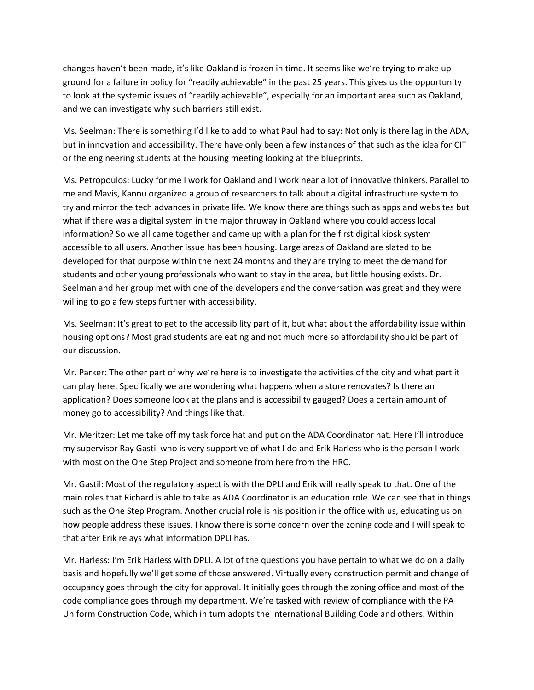changes haven't been made, it's like Oakland is frozen in time. It seems like we're trying to make up ground for a failure in policy for "readily achievable" in the past 25 years. This gives us the opportunity to look at the systemic issues of "readily achievable", especially for an important area such as Oakland, and we can investigate why such barriers still exist.

Ms. Seelman: There is something I'd like to add to what Paul had to say: Not only is there lag in the ADA, but in innovation and accessibility. There have only been a few instances of that such as the idea for CIT or the engineering students at the housing meeting looking at the blueprints.

Ms. Petropoulos: Lucky for me I work for Oakland and I work near a lot of innovative thinkers. Parallel to me and Mavis, Kannu organized a group of researchers to talk about a digital infrastructure system to try and mirror the tech advances in private life. We know there are things such as apps and websites but what if there was a digital system in the major thruway in Oakland where you could access local information? So we all came together and came up with a plan for the first digital kiosk system accessible to all users. Another issue has been housing. Large areas of Oakland are slated to be developed for that purpose within the next 24 months and they are trying to meet the demand for students and other young professionals who want to stay in the area, but little housing exists. Dr. Seelman and her group met with one of the developers and the conversation was great and they were willing to go a few steps further with accessibility.

Ms. Seelman: It's great to get to the accessibility part of it, but what about the affordability issue within housing options? Most grad students are eating and not much more so affordability should be part of our discussion.

Mr. Parker: The other part of why we're here is to investigate the activities of the city and what part it can play here. Specifically we are wondering what happens when a store renovates? Is there an application? Does someone look at the plans and is accessibility gauged? Does a certain amount of money go to accessibility? And things like that.

Mr. Meritzer: Let me take off my task force hat and put on the ADA Coordinator hat. Here I'll introduce my supervisor Ray Gastil who is very supportive of what I do and Erik Harless who is the person I work with most on the One Step Project and someone from here from the HRC.

Mr. Gastil: Most of the regulatory aspect is with the DPLI and Erik will really speak to that. One of the main roles that Richard is able to take as ADA Coordinator is an education role. We can see that in things such as the One Step Program. Another crucial role is his position in the office with us, educating us on how people address these issues. I know there is some concern over the zoning code and I will speak to that after Erik relays what information DPLI has.

Mr. Harless: I'm Erik Harless with DPLI. A lot of the questions you have pertain to what we do on a daily basis and hopefully we'll get some of those answered. Virtually every construction permit and change of occupancy goes through the city for approval. It initially goes through the zoning office and most of the code compliance goes through my department. We're tasked with review of compliance with the PA Uniform Construction Code, which in turn adopts the International Building Code and others. Within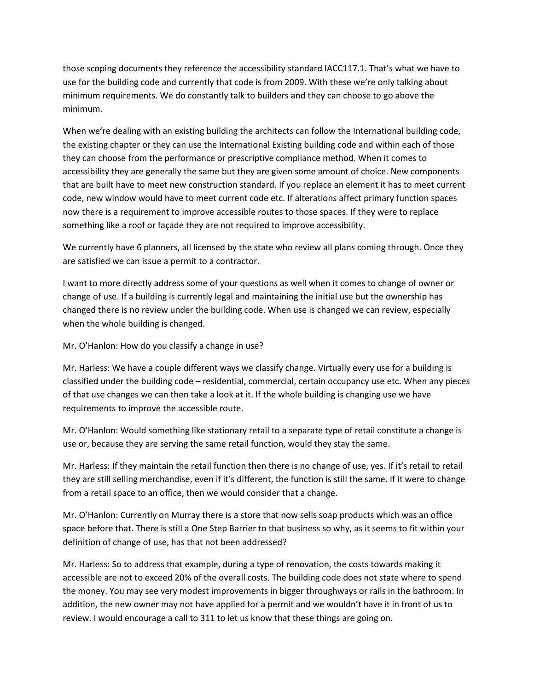those scoping documents they reference the accessibility standard IACC117.1. That's what we have to use for the building code and currently that code is from 2009. With these we're only talking about minimum requirements. We do constantly talk to builders and they can choose to go above the minimum.

When we're dealing with an existing building the architects can follow the International building code, the existing chapter or they can use the International Existing building code and within each of those they can choose from the performance or prescriptive compliance method. When it comes to accessibility they are generally the same but they are given some amount of choice. New components that are built have to meet new construction standard. If you replace an element it has to meet current code, new window would have to meet current code etc. If alterations affect primary function spaces now there is a requirement to improve accessible routes to those spaces. If they were to replace something like a roof or façade they are not required to improve accessibility.

We currently have 6 planners, all licensed by the state who review all plans coming through. Once they are satisfied we can issue a permit to a contractor.

I want to more directly address some of your questions as well when it comes to change of owner or change of use. If a building is currently legal and maintaining the initial use but the ownership has changed there is no review under the building code. When use is changed we can review, especially when the whole building is changed.

Mr. O'Hanlon: How do you classify a change in use?

Mr. Harless: We have a couple different ways we classify change. Virtually every use for a building is classified under the building code – residential, commercial, certain occupancy use etc. When any pieces of that use changes we can then take a look at it. If the whole building is changing use we have requirements to improve the accessible route.

Mr. O'Hanlon: Would something like stationary retail to a separate type of retail constitute a change is use or, because they are serving the same retail function, would they stay the same.

Mr. Harless: If they maintain the retail function then there is no change of use, yes. If it's retail to retail they are still selling merchandise, even if it's different, the function is still the same. If it were to change from a retail space to an office, then we would consider that a change.

Mr. O'Hanlon: Currently on Murray there is a store that now sells soap products which was an office space before that. There is still a One Step Barrier to that business so why, as it seems to fit within your definition of change of use, has that not been addressed?

Mr. Harless: So to address that example, during a type of renovation, the costs towards making it accessible are not to exceed 20% of the overall costs. The building code does not state where to spend the money. You may see very modest improvements in bigger throughways or rails in the bathroom. In addition, the new owner may not have applied for a permit and we wouldn't have it in front of us to review. I would encourage a call to 311 to let us know that these things are going on.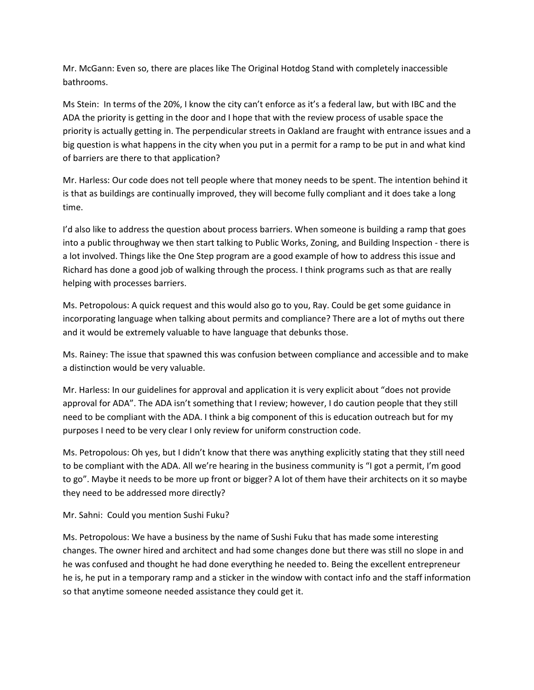Mr. McGann: Even so, there are places like The Original Hotdog Stand with completely inaccessible bathrooms.

Ms Stein: In terms of the 20%, I know the city can't enforce as it's a federal law, but with IBC and the ADA the priority is getting in the door and I hope that with the review process of usable space the priority is actually getting in. The perpendicular streets in Oakland are fraught with entrance issues and a big question is what happens in the city when you put in a permit for a ramp to be put in and what kind of barriers are there to that application?

Mr. Harless: Our code does not tell people where that money needs to be spent. The intention behind it is that as buildings are continually improved, they will become fully compliant and it does take a long time.

I'd also like to address the question about process barriers. When someone is building a ramp that goes into a public throughway we then start talking to Public Works, Zoning, and Building Inspection - there is a lot involved. Things like the One Step program are a good example of how to address this issue and Richard has done a good job of walking through the process. I think programs such as that are really helping with processes barriers.

Ms. Petropolous: A quick request and this would also go to you, Ray. Could be get some guidance in incorporating language when talking about permits and compliance? There are a lot of myths out there and it would be extremely valuable to have language that debunks those.

Ms. Rainey: The issue that spawned this was confusion between compliance and accessible and to make a distinction would be very valuable.

Mr. Harless: In our guidelines for approval and application it is very explicit about "does not provide approval for ADA". The ADA isn't something that I review; however, I do caution people that they still need to be compliant with the ADA. I think a big component of this is education outreach but for my purposes I need to be very clear I only review for uniform construction code.

Ms. Petropolous: Oh yes, but I didn't know that there was anything explicitly stating that they still need to be compliant with the ADA. All we're hearing in the business community is "I got a permit, I'm good to go". Maybe it needs to be more up front or bigger? A lot of them have their architects on it so maybe they need to be addressed more directly?

Mr. Sahni: Could you mention Sushi Fuku?

Ms. Petropolous: We have a business by the name of Sushi Fuku that has made some interesting changes. The owner hired and architect and had some changes done but there was still no slope in and he was confused and thought he had done everything he needed to. Being the excellent entrepreneur he is, he put in a temporary ramp and a sticker in the window with contact info and the staff information so that anytime someone needed assistance they could get it.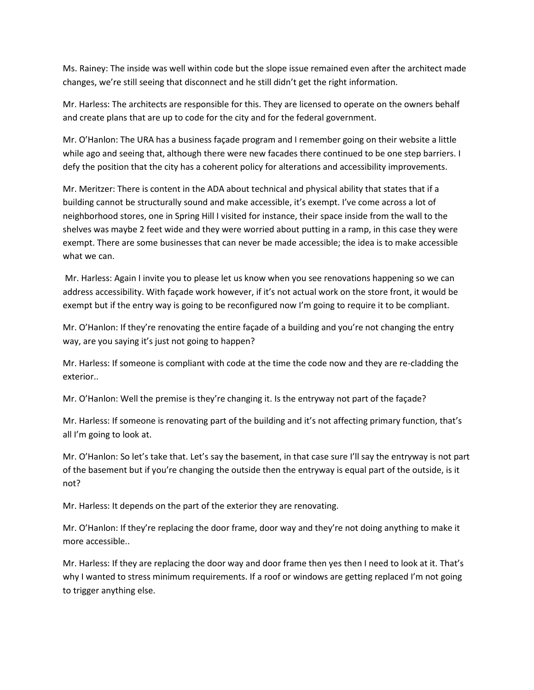Ms. Rainey: The inside was well within code but the slope issue remained even after the architect made changes, we're still seeing that disconnect and he still didn't get the right information.

Mr. Harless: The architects are responsible for this. They are licensed to operate on the owners behalf and create plans that are up to code for the city and for the federal government.

Mr. O'Hanlon: The URA has a business façade program and I remember going on their website a little while ago and seeing that, although there were new facades there continued to be one step barriers. I defy the position that the city has a coherent policy for alterations and accessibility improvements.

Mr. Meritzer: There is content in the ADA about technical and physical ability that states that if a building cannot be structurally sound and make accessible, it's exempt. I've come across a lot of neighborhood stores, one in Spring Hill I visited for instance, their space inside from the wall to the shelves was maybe 2 feet wide and they were worried about putting in a ramp, in this case they were exempt. There are some businesses that can never be made accessible; the idea is to make accessible what we can.

Mr. Harless: Again I invite you to please let us know when you see renovations happening so we can address accessibility. With façade work however, if it's not actual work on the store front, it would be exempt but if the entry way is going to be reconfigured now I'm going to require it to be compliant.

Mr. O'Hanlon: If they're renovating the entire façade of a building and you're not changing the entry way, are you saying it's just not going to happen?

Mr. Harless: If someone is compliant with code at the time the code now and they are re-cladding the exterior..

Mr. O'Hanlon: Well the premise is they're changing it. Is the entryway not part of the façade?

Mr. Harless: If someone is renovating part of the building and it's not affecting primary function, that's all I'm going to look at.

Mr. O'Hanlon: So let's take that. Let's say the basement, in that case sure I'll say the entryway is not part of the basement but if you're changing the outside then the entryway is equal part of the outside, is it not?

Mr. Harless: It depends on the part of the exterior they are renovating.

Mr. O'Hanlon: If they're replacing the door frame, door way and they're not doing anything to make it more accessible..

Mr. Harless: If they are replacing the door way and door frame then yes then I need to look at it. That's why I wanted to stress minimum requirements. If a roof or windows are getting replaced I'm not going to trigger anything else.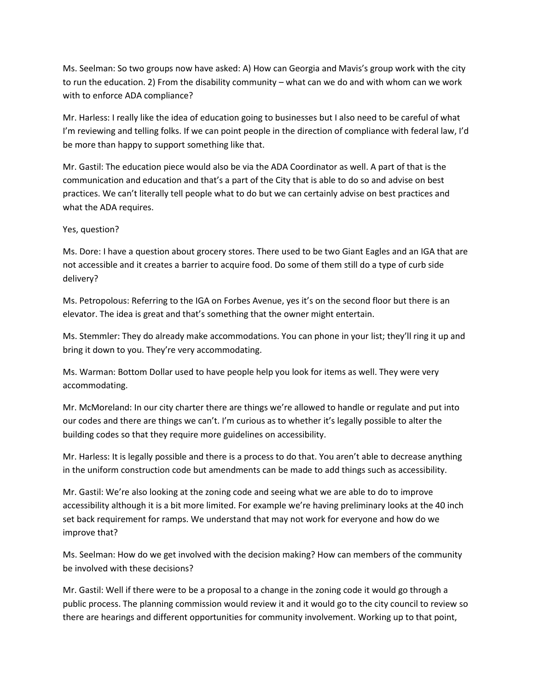Ms. Seelman: So two groups now have asked: A) How can Georgia and Mavis's group work with the city to run the education. 2) From the disability community – what can we do and with whom can we work with to enforce ADA compliance?

Mr. Harless: I really like the idea of education going to businesses but I also need to be careful of what I'm reviewing and telling folks. If we can point people in the direction of compliance with federal law, I'd be more than happy to support something like that.

Mr. Gastil: The education piece would also be via the ADA Coordinator as well. A part of that is the communication and education and that's a part of the City that is able to do so and advise on best practices. We can't literally tell people what to do but we can certainly advise on best practices and what the ADA requires.

## Yes, question?

Ms. Dore: I have a question about grocery stores. There used to be two Giant Eagles and an IGA that are not accessible and it creates a barrier to acquire food. Do some of them still do a type of curb side delivery?

Ms. Petropolous: Referring to the IGA on Forbes Avenue, yes it's on the second floor but there is an elevator. The idea is great and that's something that the owner might entertain.

Ms. Stemmler: They do already make accommodations. You can phone in your list; they'll ring it up and bring it down to you. They're very accommodating.

Ms. Warman: Bottom Dollar used to have people help you look for items as well. They were very accommodating.

Mr. McMoreland: In our city charter there are things we're allowed to handle or regulate and put into our codes and there are things we can't. I'm curious as to whether it's legally possible to alter the building codes so that they require more guidelines on accessibility.

Mr. Harless: It is legally possible and there is a process to do that. You aren't able to decrease anything in the uniform construction code but amendments can be made to add things such as accessibility.

Mr. Gastil: We're also looking at the zoning code and seeing what we are able to do to improve accessibility although it is a bit more limited. For example we're having preliminary looks at the 40 inch set back requirement for ramps. We understand that may not work for everyone and how do we improve that?

Ms. Seelman: How do we get involved with the decision making? How can members of the community be involved with these decisions?

Mr. Gastil: Well if there were to be a proposal to a change in the zoning code it would go through a public process. The planning commission would review it and it would go to the city council to review so there are hearings and different opportunities for community involvement. Working up to that point,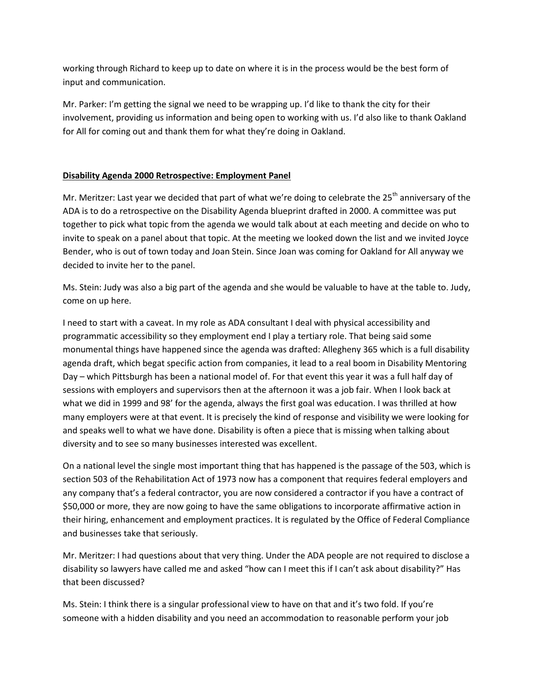working through Richard to keep up to date on where it is in the process would be the best form of input and communication.

Mr. Parker: I'm getting the signal we need to be wrapping up. I'd like to thank the city for their involvement, providing us information and being open to working with us. I'd also like to thank Oakland for All for coming out and thank them for what they're doing in Oakland.

# **Disability Agenda 2000 Retrospective: Employment Panel**

Mr. Meritzer: Last year we decided that part of what we're doing to celebrate the 25<sup>th</sup> anniversary of the ADA is to do a retrospective on the Disability Agenda blueprint drafted in 2000. A committee was put together to pick what topic from the agenda we would talk about at each meeting and decide on who to invite to speak on a panel about that topic. At the meeting we looked down the list and we invited Joyce Bender, who is out of town today and Joan Stein. Since Joan was coming for Oakland for All anyway we decided to invite her to the panel.

Ms. Stein: Judy was also a big part of the agenda and she would be valuable to have at the table to. Judy, come on up here.

I need to start with a caveat. In my role as ADA consultant I deal with physical accessibility and programmatic accessibility so they employment end I play a tertiary role. That being said some monumental things have happened since the agenda was drafted: Allegheny 365 which is a full disability agenda draft, which begat specific action from companies, it lead to a real boom in Disability Mentoring Day – which Pittsburgh has been a national model of. For that event this year it was a full half day of sessions with employers and supervisors then at the afternoon it was a job fair. When I look back at what we did in 1999 and 98' for the agenda, always the first goal was education. I was thrilled at how many employers were at that event. It is precisely the kind of response and visibility we were looking for and speaks well to what we have done. Disability is often a piece that is missing when talking about diversity and to see so many businesses interested was excellent.

On a national level the single most important thing that has happened is the passage of the 503, which is section 503 of the Rehabilitation Act of 1973 now has a component that requires federal employers and any company that's a federal contractor, you are now considered a contractor if you have a contract of \$50,000 or more, they are now going to have the same obligations to incorporate affirmative action in their hiring, enhancement and employment practices. It is regulated by the Office of Federal Compliance and businesses take that seriously.

Mr. Meritzer: I had questions about that very thing. Under the ADA people are not required to disclose a disability so lawyers have called me and asked "how can I meet this if I can't ask about disability?" Has that been discussed?

Ms. Stein: I think there is a singular professional view to have on that and it's two fold. If you're someone with a hidden disability and you need an accommodation to reasonable perform your job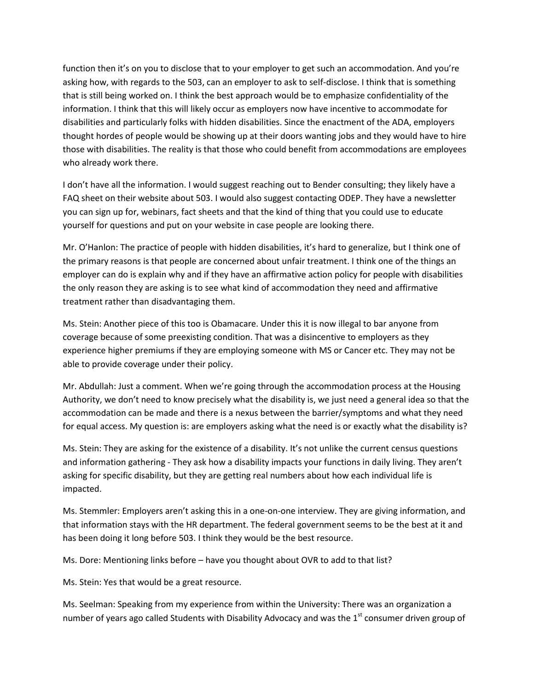function then it's on you to disclose that to your employer to get such an accommodation. And you're asking how, with regards to the 503, can an employer to ask to self-disclose. I think that is something that is still being worked on. I think the best approach would be to emphasize confidentiality of the information. I think that this will likely occur as employers now have incentive to accommodate for disabilities and particularly folks with hidden disabilities. Since the enactment of the ADA, employers thought hordes of people would be showing up at their doors wanting jobs and they would have to hire those with disabilities. The reality is that those who could benefit from accommodations are employees who already work there.

I don't have all the information. I would suggest reaching out to Bender consulting; they likely have a FAQ sheet on their website about 503. I would also suggest contacting ODEP. They have a newsletter you can sign up for, webinars, fact sheets and that the kind of thing that you could use to educate yourself for questions and put on your website in case people are looking there.

Mr. O'Hanlon: The practice of people with hidden disabilities, it's hard to generalize, but I think one of the primary reasons is that people are concerned about unfair treatment. I think one of the things an employer can do is explain why and if they have an affirmative action policy for people with disabilities the only reason they are asking is to see what kind of accommodation they need and affirmative treatment rather than disadvantaging them.

Ms. Stein: Another piece of this too is Obamacare. Under this it is now illegal to bar anyone from coverage because of some preexisting condition. That was a disincentive to employers as they experience higher premiums if they are employing someone with MS or Cancer etc. They may not be able to provide coverage under their policy.

Mr. Abdullah: Just a comment. When we're going through the accommodation process at the Housing Authority, we don't need to know precisely what the disability is, we just need a general idea so that the accommodation can be made and there is a nexus between the barrier/symptoms and what they need for equal access. My question is: are employers asking what the need is or exactly what the disability is?

Ms. Stein: They are asking for the existence of a disability. It's not unlike the current census questions and information gathering - They ask how a disability impacts your functions in daily living. They aren't asking for specific disability, but they are getting real numbers about how each individual life is impacted.

Ms. Stemmler: Employers aren't asking this in a one-on-one interview. They are giving information, and that information stays with the HR department. The federal government seems to be the best at it and has been doing it long before 503. I think they would be the best resource.

Ms. Dore: Mentioning links before – have you thought about OVR to add to that list?

Ms. Stein: Yes that would be a great resource.

Ms. Seelman: Speaking from my experience from within the University: There was an organization a number of years ago called Students with Disability Advocacy and was the 1<sup>st</sup> consumer driven group of